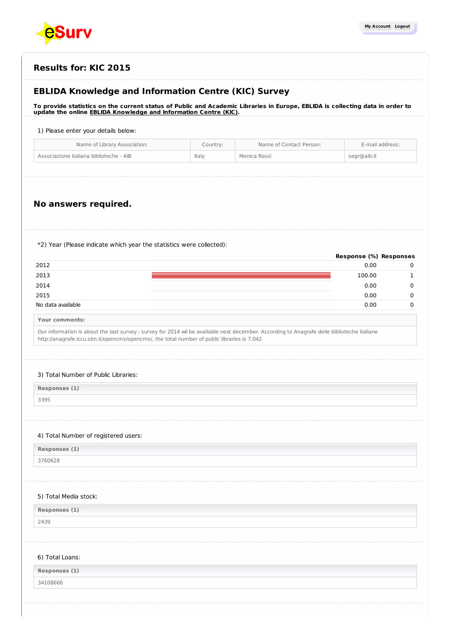

| <b>Results for: KIC 2015</b> |  |
|------------------------------|--|
|------------------------------|--|

# **EBLIDA Knowledge and Information Centre (KIC) Survey**

To provide statistics on the current status of Public and Academic Libraries in Europe, EBLIDA is collecting data in order to **update the online EBLIDA Knowledge and [Information](http://www.eblida.org/activities/kic/) Centre (KIC).**

#### 1) Please enter your details below:

| Name of Library Association:                     | Name of Contact Person:<br>Country: | E-mail address: |
|--------------------------------------------------|-------------------------------------|-----------------|
| Associazione italiana biblioteche - AIB<br>Italy | Monica Rossi                        | segr@aib.it     |

# **No answers required.**

\*2) Year (Please indicate which year the statistics were collected):

|                   | Response (%) Responses |  |
|-------------------|------------------------|--|
| 2012              | 0.00                   |  |
| 2013              | 100.00                 |  |
| 2014              | 0.00                   |  |
| 2015              | 0.00                   |  |
| No data available | 0.00                   |  |

**Your comments:**

Our information is about the last survey ; survey for 2014 wil be available next december. According to Anagrafe delle biblioteche italiane http://anagrafe.iccu.sbn.it/opencms/opencms/, the total number of public libraries is 7.042

#### 3) Total Number of Public Libraries:

| Responses (1) |
|---------------|
| 3395          |

#### 4) Total Number of registered users:

**Responses (1)**

3760628

 $\overline{\phantom{a}}$ 

### 5) Total Media stock:

| Responses (1) |  |
|---------------|--|
|---------------|--|

2439

#### 6) Total Loans:

| $\ell = 3$<br>Responses (<br>$\lambda - 1$ |  |
|--------------------------------------------|--|
| 34108666                                   |  |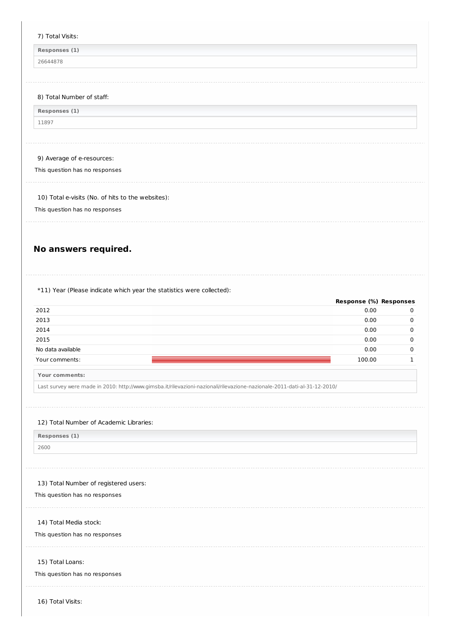#### 7) Total Visits:

**Responses (1)**

26644878

## 8) Total Number of staff:

| Responses (1) |  |
|---------------|--|
| 11897         |  |

## 9) Average of e-resources:

This question has no responses

10) Total e-visits (No. of hits to the websites):

This question has no responses

# **No answers required.**

\*11) Year (Please indicate which year the statistics were collected):

|                   | Response (%) Responses |          |
|-------------------|------------------------|----------|
| 2012              | 0.00                   | $\Omega$ |
| 2013              | 0.00                   | 0        |
| 2014              | 0.00                   | 0        |
| 2015              | 0.00                   | 0        |
| No data available | 0.00                   | 0        |
| Your comments:    | 100.00                 |          |
|                   |                        |          |

**Your comments:**

Last survey were made in 2010: http://www.gimsba.it/rilevazioni-nazionali/rilevazione-nazionale-2011-dati-al-31-12-2010/

#### 12) Total Number of Academic Libraries:

| Responses (1) |  |
|---------------|--|
| 2600          |  |

#### 13) Total Number of registered users:

This question has no responses

14) Total Media stock:

This question has no responses

#### 15) Total Loans:

This question has no responses

16) Total Visits: